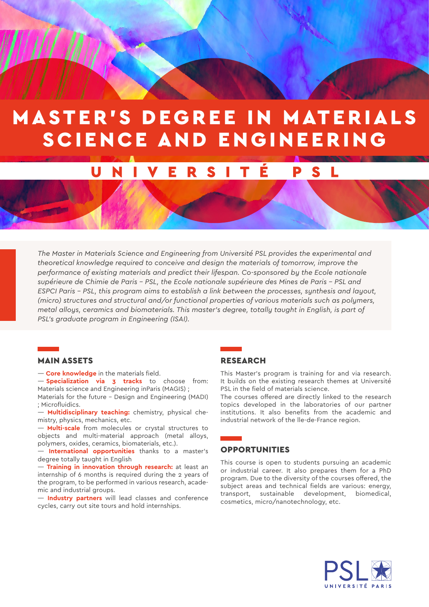# MASTER'S DEGREE IN MATERIALS SCIENCE AND ENGINEERING

#### UNIVERSIT É P S

*The Master in Materials Science and Engineering from Université PSL provides the experimental and theoretical knowledge required to conceive and design the materials of tomorrow, improve the performance of existing materials and predict their lifespan. Co-sponsored by the Ecole nationale supérieure de Chimie de Paris - PSL, the Ecole nationale supérieure des Mines de Paris - PSL and ESPCI Paris - PSL, this program aims to establish a link between the processes, synthesis and layout, (micro) structures and structural and/or functional properties of various materials such as polymers, metal alloys, ceramics and biomaterials. This master's degree, totally taught in English, is part of PSL's graduate program in Engineering (ISAI).*

#### MAIN ASSETS

— **Core knowledge** in the materials field.

— **Specialization via 3 tracks** to choose from: Materials science and Engineering inParis (MAGIS) ;

Materials for the future - Design and Engineering (MADI) ; Microfluidics.

— **Multidisciplinary teaching:** chemistry, physical chemistry, physics, mechanics, etc.

— **Multi-scale** from molecules or crystal structures to objects and multi-material approach (metal alloys, polymers, oxides, ceramics, biomaterials, etc.).

— **International opportunities** thanks to a master's degree totally taught in English

— **Training in innovation through research:** at least an internship of 6 months is required during the 2 years of the program, to be performed in various research, academic and industrial groups.

— **Industry partners** will lead classes and conference cycles, carry out site tours and hold internships.

#### RESEARCH

This Master's program is training for and via research. It builds on the existing research themes at Université PSL in the field of materials science.

The courses offered are directly linked to the research topics developed in the laboratories of our partner institutions. It also benefits from the academic and industrial network of the lle-de-France region.

#### OPPORTUNITIES

This course is open to students pursuing an academic or industrial career. It also prepares them for a PhD program. Due to the diversity of the courses offered, the subject areas and technical fields are various: energy, transport, sustainable development, biomedical, cosmetics, micro/nanotechnology, etc.